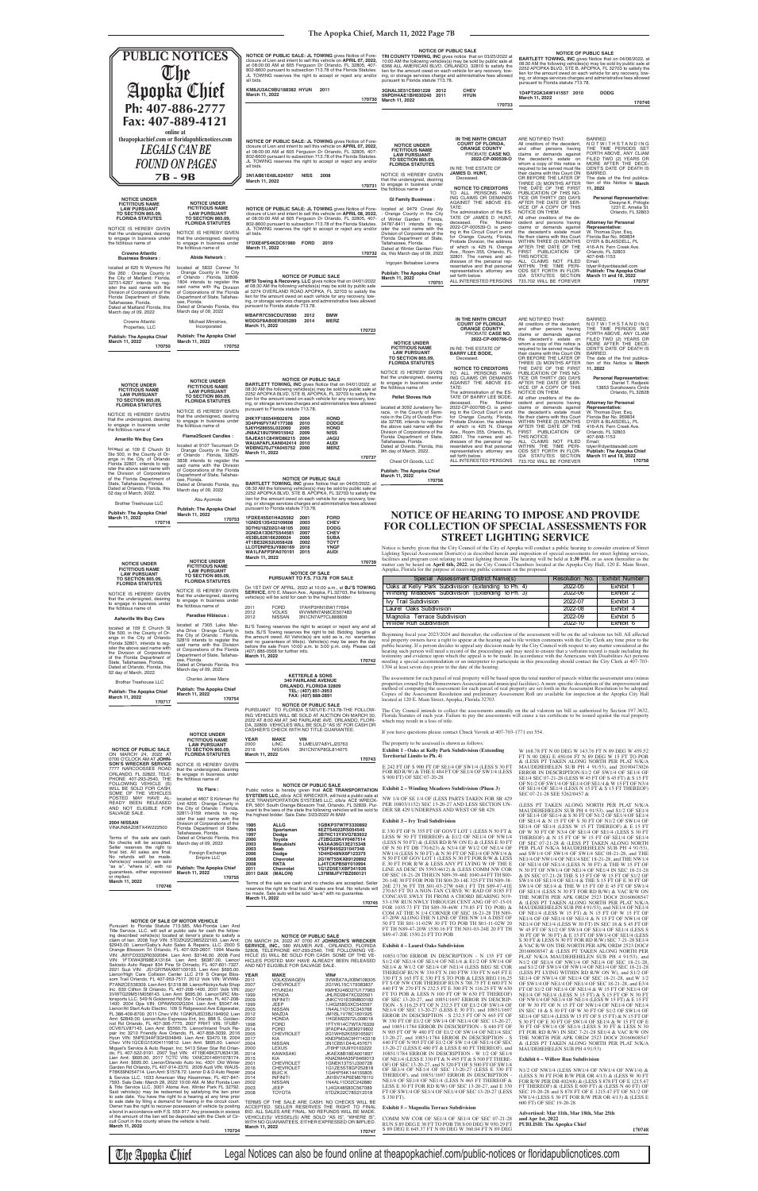## **The Apopka Chief, March 11, 2022 Page 7B**

## **NOTICE OF HEARING TO IMPOSE AND PROVIDE FOR COLLECTION OF SPECIAL ASSESSMENTS FOR STREET LIGHTING SERVICE**

Beginning fiscal year 2023/2024 and thereafter, the collection of the assessment will be on the ad valorem tax bill. All affected real property owners have a right to appear at the hearing and to file written comments with the City Clerk any time prior to the<br>public hearing. If a person decides to appeal any decision made by the City Council with res hearing such person will need a record of the proceedings and may need to ensure that a verbatim record is made including the<br>testimony and evidence upon which the appeal is to be made. In accordance with the Americans wit needing a special accommodation or an interpreter to participate in this proceeding should contact the City Clerk at 407-703- 1704 at least seven days prior to the date of the hearing.

E 242 FT OF S 900 FT OF SE1/4 OF SW1/4 (LESS S 30 FT **DF SW1/4 (LESS)** 

#### 1 (Phase 3)

EN FOR SR 429 **SECTION UN-**SR 429.

ESS N 50 FT  $\&$ E1/4 OF NW1/4  $\alpha$  (LESS E 50 FT) 2 OF NE1/4 OF 1/4 OF NW1/4 & N 50 FT OF GOV LOT 1 (LESS N 30 FT FOR R/W & LESS E 30 FT FOR R/W & LESS ANY PT LYING W OF THE E LINE AS DESC IN 5593/4612) & (LESS COMM NW COR 0.44 FT TH S00-5 FT TH N89-38-26E 271.36 FT TH S01-03-27W 648.1 FT TH S89-47-41E 270.63 FT TO A NON-TAN CURVE W/ RAD OF 8185 FT CONCAVE SWLY TH FROM A CHORD BEARING N19- 53-13W RUN NWLY THROUGH CENT ANG OF 07-15-01 FOR 1035.73 FT TH S89-39-46W 179.85 FT TO POB) & COM AT THE N 1/4 CORNER OF SEC 18-21-28 TH N89- 47-20W ALONG THE N LINE OF THE NW 1/4 A DIST OF 50 FT TH S01-11-02W 30 FT TO POB TH S01-11-02W 20 FT TH N89-47-20W 1550.16 FT TH N01-03-24E 20 FT TH S89-47-20E 1550.21 FT TO POB

#### **Exhibit 4 – Laurel Oaks Subdivision**

10851/1700 ERROR IN DESCRIPTION - N 135 FT OF S1/2 OF NE1/4 OF SE1/4 OF NE1/4 & E1/2 OF SW1/4 OF NE1/4 & W1/2 OF SE1/4 OF NE1/4 (LESS BEG SE COR THEREOF RUN W 330 FT N 180 FTW 330 FT N 645 FT E 330 FT S 165 FT E 330 FT S TO POB & LESS BEG 116.25 FT S OF NW COR THEREOF RUN S 788.75 FT E 600 FT N 440 FT W 270 FT N 232.5 FT E 300 FT N 116.25 FT W 630 FT TO POB & LESS N 100 FT OF W 630 FT THEREOF) OF SEC 13-20-27, and 10851/1697 ERROR IN DESCRIP-TION - S 116.25 FT OF N 232.5 FT OF E1/2 OF SW1/4 OF<br>NE1/4 OF SEC 13-20-27 (LESS E 30 FT), and 10851/1697<br>ERROR IN DESCRIPTION - S 232.5 FT OF N 465 FT OF<br>W 330 FT OF E1/2 OF SW1/4 OF NE1/4 OF SEC 13-20-27,<br>and 10851/1784 N 905 FT OF W 480 FT OF E1/2 OF SW1/4 OF NE1/4 SEC<br>13-20-27, and 10851/1784 ERROR IN DESCRIPTION - S<br>440 FT OF N 905 FT OF E1/2 OF SW 1/4 OF NE1/4 OF SEC 13-20-27 (LESS E 480 FT & LESS E 60 FT THEREOF), and 10851/1784 ERROR IN DESCRIPTION - W 1/2 OF SE1/4 OF NE1/4 (LESS E 330 FT & N 495 FT & S 500 FT THERE-OF) OF SEC 13-20-27, and N 320 FT OF S 500 FT OF SW1/4 OF SE1/4 OF NE1/4 OF SEC 13-20-27 (LESS E 330 FT THEREOF), and 10851/1697 ERROR IN DESCRIPTION - NE1/4 OF SE1/4 OF NE1/4 (LESS N 465 FT THEREOF & LESS E 30 FT FOR RD R/W) OF SEC 13-20-27, and E 330 FT OF SW1/4 OF SE1/4 OF NE1/4 OF SEC 13-20-27 (LESS S 330 FT).

## **Exhibit 5 – Magnolia Terrace Subdivision**

COMM NW COR OF SE1/4 OF SE1/4 OF SEC 07-21-28 RUN S 89 DEG E 30 FT TO POB TH S 00 DEG W 950.29 FT S 89 DEG E 645.37 FT N 00 DEG W 360.04 FT N 89 DEG

W 168.78 FT N 00 DEG W 143.76 FT N 89 DEG W 459.52 FT N 00 DEG E 450.04 FT N 89 DEG W 15 FT TO POB & (LESS PT TAKEN ALONG NORTH PER PLAT N/K/A MAUDEHEHELEN SUB PH 4 91/53), and 20190473026 ERROR IN DESCRIPTION-S1/2 OF SW1/4 OF SE1/4 OF SE1/4 SEC 07-21-28 (LESS W 45 FT OF S 45 FT) & S 15 FT OF N1/2 OF SW1/4 OF SE1/4 OF SE1/4 & W 15 FT OF N3/4 OF SE1/4 OF SE1/4 (LESS N 15 FT & S 15 FT THEREOF) SEC 07-21-28 SEE 5262/0457 &

Notice is hereby given that the City Council of the City of Apopka will conduct a public hearing to consider creation of Street Lighting Special Assessment District(s) as described herein and imposition of special assessments for street lighting services,<br>facilities and program cost relating to street lighting therein. The hearing will be held at 1 , Florida for the purpose of receiving public comment on the proposed **170739**

2011 FORD 1FAHP3HN1BW177694<br>2012 VOLKS WVWMN7AN8CE50748 2012 VOLKS WVWMN7AN8CE507483 2012 NISSAN 3N1CN7AP7CL888839 BJ'S Towing reserves the right to accept or reject any and all

> (LESS PT TAKEN ALONG NORTH PER PLAT N/K/A MAUDEHEHELEN SUB PH 4 91/53), and S1/2 OF SE1/4 OF SE1/4 OF SE1/4 & S 30 FT OF N1/2 OF SE1/4 OF SE1/4 OF SE1/4 & N 15 FT OF S 30 FT OF N1/2 OF SW1/4 OF SE1/4 OF SE1/4 (LESS W 15 FT THEREOF) & E 15 FT OF W 30 FT OF N3/4 OF SE1/4 OF SE1/4 (LESS S 30 FT<br>THEREOF) & N 15 FT OF W 15 FT OF SE1/4 OF SE1/4<br>OF SEC 07-21-28 & (LESS PT TAKEN ALONG NORTH<br>PER PLAT N/K/A MAUDEHEHELEN SUB PH 4 91/53),<br>and SW1/4 OF SW1/4 OF SW1/4 SEC 0 NE1/4 OF NW1/4 OF NE1/4 SEC 18-21-28, and THE NW1/4<br>OF NE1/4 OF NE1/4 (LESS N 30 FT) & THE W 15 FT OF NW1/4 OF NE1/4 OF NE1/4 OF NE1/4 IN SEC 18-21-28<br>& IN SEC 07-21-28 THE S 15 FT OF W 15 FT OF S1/2 OF<br>SW1/4 OF SE1/4 & TH 20160608547 & (LESS PT TAKEN ALONG NORTH PER PLAT N/K/A MAUDEHEHELEN SUB PH 4 91/53), and N1/2 OF SE1/4 OF NW1/4 OF NE1/4 OF SEC 18-21-28, and S1/2 OF SW1/4 OF NW1/4 OF NE1/4 OF SEC 18-21-28 (LESS PT LYING WITHIN RD R/W ON W), and S1/2 OF SE1/4 OF NW1/4 OF NE1/4 OF SEC 18-21-28, and W 1/2 OF SW1/4 OF NE1/4 OF NE1/4 OF SEC 18-21-28, and E3/4 FT OF S1/2 OF NE1/4 OF NE1/4 & W 15 FT OF NE1/4 OF NE1/4 OF NE1/4 (LESS N 15 FT) & S 15 FT OF N 30 FT OF NW1/4 OF NE1/4 OF NE1/4 (LESS W 15 FT) & E 15 FT OF W 30 FT OF N 15 FT OF NW1/4 OF NE1/4 OF NE1/4 IN SEC 18 & S 30 FT OF W 30 FT OF S1/2 OF SW1/4 OF SE1/4 OF SE1/4 (LESS W 15 FT OF S 15 FT) & N 15 FT OF S 30 FT OF E 30 FT OF SW1/4 OF SE1/4 & W 15 FT OF E<br>30 FT OF SW1/4 OF SE1/4 (LESS S 30 FT & LESS N 30<br>FT FOR RD R/W) IN SEC 7-21-28 SE1/4 & VAC R/W ON<br>THE NORTH PER APK ORD# 2523 DOC# 20160608547<br>& (LESS PT TAKEN ALONG NOR MAUDEHEHELEN SUB PH 4 91/53)

#### **Exhibit 6 – Willow Run Subdivision**

ON MARCH 24, 2022 AT 0700 AT **JOHNSON'S WRECKER SERVICE, INC.,** 580 WILMER AVE., ORLANDO, FLORIDA 32808, TELEPHONE 407-293-2540, THE FOLLOWING VE-HICLE (S) WILL BE SOLD FOR CASH. SOME OF THE VE-<br>HICLES POSTED MAY HAVE ALREADY BEEN RELEASED<br>AND NOT ELIGIBLE FOR SALVAGE SALE.

TERMS OF THE SALE ARE CASH. NO CHECKS WILL BE<br>ACCEPTED. SELLER RESERVES THE RIGHT TO FINAL<br>BID. ALL SALES ARE FINAL. NO REFUNDS WILL BE MADE.<br>VEHICLE(S)/ VESSEL(S) ARE SOLD "AS IS", "WHERE IS", WITH NO GUARANTEES, EITHER EXPRESSED OR IMPLIED. **March 11, 2022 170747**

The assessment for each parcel of real property will be based upon the total number of parcels within the assessment area (minus<br>properties owned by the Homeowners Association and municipal facilities). A more specific des method of computing the assessment for each parcel of real property are set forth in the Assessment Resolution to be adopted.<br>Copies of the Assessment Resolution and preliminary Assessment Roll are available for inspection la 32703.

ssments annually on the ad valorem tax bill as authorized by Section 197.3632, the assessments will cause a tax certificate to be issued against the real property

Vavrek at 407-703-1771 ext 554.

**Extending** 

N1/2 OF NW1/4 (LESS NW1/4 OF NW1/4 OF NW1/4) & (LESS S 30 FT FOR R/W PER OR 4/13) & (LESS W 30 FT FOR R/W PER DB 402/68) & (LESS S 878 FT OF E 1215.47 FT THEREOF) & (LESS E 600 FT) & (LESS N 60 FT) OF SEC 19-20-28 and S 878 FT OF E 1215.47 FT OF N1/2 OF NW1/4 (LESS S 30 FT FOR R/W PER OR 4/13) & (LESS E 600 FT) OF SEC 19-20-28

**Advertised: Mar 11th, Mar 18th, Mar 25th and Apr 1st, 2022 PUBLISH: The Apopka Chief** 

 **170748**

The Apopka Chief Legal Notices can also be found online at theapopkachief.com/public-notices or floridapublicnotices.com

| Special Assessment District Name(s)                 | Resolution No. | Exhibit Number   |
|-----------------------------------------------------|----------------|------------------|
| Oaks at Kelly Park Subdivision (Extending to Ph. 4) | $2022 - 05$    | Exhibit 1        |
| Winding Meadows Subdivision (Extending to Ph. 3)    | 2022-06        | <b>Exhibit 2</b> |
| Ivy Trail Subdivision                               | 2022-07        | Fxhibit 3        |
| Laurel Oaks Subdivision                             | $2022 - 08$    | Fxhibit 4        |
| Magnolia Terrace Subdivision                        | $2022 - 09$    | Fxhibit 5        |
| Willow Run Subdivision                              | 2022-10        | Exhibit 6        |

**FLORIDA STATUTES** NOTICE IS HEREBY GIVEN that the undersigned, desiring to engage in business under<br>the fictitious name of **FLORIDA STATUTES** NOTICE IS HEREBY GIVEN that the undersigned, desiring<br>to engage in business under<br>the fictitious name of

| ing, or storage services charges and administrative fees all<br>pursuant to Florida statute 713.78. |      |             |  |
|-----------------------------------------------------------------------------------------------------|------|-------------|--|
| 1FDXE45S01HA25562                                                                                   | 2001 | <b>FORD</b> |  |
| 1GNDS13S432109608                                                                                   | 2003 | <b>CHEV</b> |  |
| <b>2D7LU112702C142105</b>                                                                           | פחחפ | <b>DODG</b> |  |

| <b>IFDXE45S01HA25562</b> | 2001 | FORD        |  |
|--------------------------|------|-------------|--|
| 1GNDS13S432109608        | 2003 | <b>CHEV</b> |  |
| 3D7HU18Z02G148105        | 2002 | <b>DODG</b> |  |
| 3GNDA13D67S544581        | 2007 | <b>CHEV</b> |  |
| 4S3BL626166200024        | 2006 | <b>SUBA</b> |  |
| 4T1BE32K52U058428        | 2002 | TOYT        |  |
| LLOTDNPE9JY880169        | 2018 | YNGF        |  |
|                          |      |             |  |

**WA1LFAFP3FA070191 2015 AUDI March 11, 2022** 

| <b>NOTICE OF SALE</b>                            | Apopka, |
|--------------------------------------------------|---------|
| PURSUANT TO F.S. 713.78 FOR SALE                 |         |
| DAY OF APRIL, 2022 at 10:00 a.m., at BJ'S TOWING | Oaks    |

| <b>NOTICE OF SALE</b>                |                                 |  |                       |  |  |  |
|--------------------------------------|---------------------------------|--|-----------------------|--|--|--|
|                                      | PURSUANT TO F.S. 713.78 FOR SAL |  |                       |  |  |  |
| $CT$ DAV OF ADDIL 2002 of 10:00 a.m. |                                 |  | $\sim$ $\blacksquare$ |  |  |  |

On 1ST DAY OF APRIL, 2022 at 10:00 a.m., at **BJ'S TOWING**<br>**SERVICE**, 670 E. Mason Ave., Apopka, FL 32703, the following<br>vehicle(s) will be sold for cash to the highest bidder:

bids. BJ'S Towing reserves the right to bid. Bidding begins at the amount owed. All Vehicle(s) are sold as is, no warranties and no guarantees of title(s). Vehicle(s) may be seen the day before the sale From 10:00 a.m. to 3:00 p.m. only. Please call (407) 886-0568 for further info. **March 11, 2022**

**170742**

**KETTERLE & SONS**

**YEAR** 2011 Pursuant to Florida Statute 713.585, Mid-Florida Lien And<br>Title Service, LLC. will sell at public sale for cash the follow-<br>Imp described vehicle(s) located at lienor's place to satisfy a<br>claim of lien. 2008 Toyt VIN: 5TDZ VIN: JM1FD3332R0302084. Lien Amt: \$3146.00. 2008 Ford<br>VIN: JFTXW43R98EA13164. Lien Amt: \$6387.00. Lienor/<br>Salcedo Auto Repair 834 Pine St OfInado, FL 407-601-7327.<br>2021 Suzi VIN: JS1GR7MAXM7100193. Lien Amt: \$695.00.<br>Lieno P7AN2CE536309. Lien Amt: \$1318.88. Lienor/Nickys Auto Shop<br>Inc. 630 Clifton St Orlando, FL 407-208-1400. 2001 Volk VIN:<br>3VWTG29M51M058143. Lien Amt: \$695.00. Lienor/GRC Mo-<br>torsports LLC. 549 N Goldenrod Rd Ste 1 Orlando, Amt: \$2849.00. Lienor/Auto Expresss Ent, Inc. 888 S. Golden-<br>rod Rd Orlando, FL 407-306-7775. 2007 FRHT VIN: 1FUBF-<br>0CV67LV87143. Lien Amt: \$5560.75. Lienor/Inland Truck Re-<br>pair Inc 3210 Friendly Ave Orlando, FL 407-858-3 Chev VIN.1GCEG15X041119812. Lien Amt: \$695.00. Lienor/<br>Miguel's Service & Auto Repair, Inc. 5413 Silver Star Rd Orlan/<br>Mo, FL 407-522-9191. 2007 Toyt VIN: 4T1BE46K37U634136.<br>Lien Amt: \$695.00. 2017 TCTC VIN: 1XNC20146H1078 F78K69N054714. Lien Amt: \$1578.72. Lienor D & D Auto Repair & Service LLC. 1033 American Way Kissimmee, FL 407-847-7593. Sale Date: March 28, 2022 10:00 AM. At Mid Florida Lien<br>7593. Sale Date: March 28, 2022 10:00 AM. At Mid Florida Lien<br>Said vehicle(s) may be redeemed by satisfyi to sale date by filing a demand for hearing in the circuit court.<br>Owner has the right to recover possession of vehicle by posting<br>a bond in accordance with F.S. 559.917. Any proceeds in excess<br>of the amount of the lien wil cuit Court in the county where the vehicle is held. **March 11, 2022 170724**

**170745**

**NOTICE OF PUBLIC SALE**

| <b>Brother Treehouse LLC</b><br><b>Publish: The Apopka Chief</b><br>March 11, 2022                                                                                                                                                                                                                                                   | Charles Jenee Marie<br><b>Publish: The Apopka Chief</b><br>March 11, 2022<br>170754                                                                                                                                                                   |                                                                                                                                                                                                                                                  | <b>340 FAIRLANE AVENUE</b><br>ORLANDO, FLORIDA 32809<br>TEL: (407) 851-3953<br>FAX: (407) 888-2891                                                                                                                                                                                                                                                                                                  | The assessment for each parcel of real property w<br>properties owned by the Homeowners Association<br>method of computing the assessment for each pa<br>Copies of the Assessment Resolution and prelii<br>located at 120 E. Main Street, Apopka, Florida 3                                                                                                                                                                                                                         |
|--------------------------------------------------------------------------------------------------------------------------------------------------------------------------------------------------------------------------------------------------------------------------------------------------------------------------------------|-------------------------------------------------------------------------------------------------------------------------------------------------------------------------------------------------------------------------------------------------------|--------------------------------------------------------------------------------------------------------------------------------------------------------------------------------------------------------------------------------------------------|-----------------------------------------------------------------------------------------------------------------------------------------------------------------------------------------------------------------------------------------------------------------------------------------------------------------------------------------------------------------------------------------------------|-------------------------------------------------------------------------------------------------------------------------------------------------------------------------------------------------------------------------------------------------------------------------------------------------------------------------------------------------------------------------------------------------------------------------------------------------------------------------------------|
| 170717                                                                                                                                                                                                                                                                                                                               | <b>NOTICE UNDER</b>                                                                                                                                                                                                                                   |                                                                                                                                                                                                                                                  | <b>NOTICE OF PUBLIC SALE</b><br>PURSUANT TO FLORIDA STATUTE-713.78-THE FOLLOW-<br>ING VEHICLES WILL BE SOLD AT AUCTION ON MARCH 30.<br>2022 AT 8:00 AM AT 340 FAIRLANE AVE. ORLANDO, FLORI-<br>DA, 32809. VEHICLES WILL BE SOLD "AS IS" FOR CASH OR<br>CASHIER'S CHECK WITH NO TITLE GUARANTEE.                                                                                                     | The City Council intends to collect the assessn<br>Florida Statutes of each year. Failure to pay the<br>which may result in a loss of title.<br>If you have questions please contact Chuck Vavi                                                                                                                                                                                                                                                                                     |
| <b>NOTICE OF PUBLIC SALE</b><br>ON MARCH 24, 2022 AT<br>0700 O'CLOCK AM AT JOHN-                                                                                                                                                                                                                                                     | <b>FICTITIOUS NAME</b><br><b>LAW PURSUANT</b><br><b>TO SECTION 865.09,</b><br><b>FLORIDA STATUTES</b>                                                                                                                                                 | <b>YEAR</b><br><b>MAKE</b><br>LINC.<br>2000<br>2016<br><b>NISSAN</b><br>March 11, 2022                                                                                                                                                           | <b>VIN</b><br>5 LMEU27A8YLJ23763<br>3N1CN7AP8GL814075<br>170743                                                                                                                                                                                                                                                                                                                                     | The property to be assessed is shown as follows:<br><b>Exhibit 1 - Oaks at Kelly Park Subdivision (F</b><br><b>Territorial Limits to Ph. 4)</b>                                                                                                                                                                                                                                                                                                                                     |
| <b>SON'S WRECKER SERVICE</b><br>7777 NARCOOSSEE ROAD<br>ORLANDO, FL 32822, TELE-<br>PHONE 407-293-2540, THE<br>FOLLOWING VEHICLE (S)                                                                                                                                                                                                 | NOTICE IS HEREBY GIVEN<br>that the undersigned, desiring<br>to engage in business under<br>the fictitious name of                                                                                                                                     |                                                                                                                                                                                                                                                  |                                                                                                                                                                                                                                                                                                                                                                                                     | E 242 FT OF S 900 FT OF SE1/4 OF SW1/4 (I<br>FOR RD R/W) & THE E 484 FT OF SE1/4 OF S<br>S 900 FT) OF SEC 07-20-28                                                                                                                                                                                                                                                                                                                                                                  |
| WILL BE SOLD FOR CASH.<br>SOME OF THE VEHICLES<br>POSTED MAY HAVE AL-<br>READY BEEN RELEASED<br>AND NOT ELIGIBLE FOR<br>SALVAGE SALE.                                                                                                                                                                                                | Vic Flare:<br>located at 4607 S Kirkman Rd<br>Unit 4205 : Orange County in<br>the City of Orlando: Florida,<br>32811-3159 intends to req-<br>ister the said name with the                                                                             |                                                                                                                                                                                                                                                  | <b>NOTICE OF PUBLIC SALE</b><br>Public notice is hereby given that ACE TRANSPORTATION<br>SYSTEMS LLC, d/b/a ACE WRECKER, will hold a public sale at<br>ACE TRANSPORTATION SYSTEMS LLC, d/b/a ACE WRECK-<br>ER, 5601 South Orange Blossom Trail, Orlando, FL 32839. Pur-<br>suant to the laws of the state the following vehicles will be sold to<br>the highest bidder. Sale Date: 3/23/2022 At 8AM | <b>Exhibit 2 – Winding Meadows Subdivision (P</b><br>NW 1/4 OF SE 1/4 OF (LESS PARTS TAKEN<br>PER 10803/1152) SEC 13-20-27 AND LESS SI<br>DER SR 429 UNDERPASS AND WEST OF SF                                                                                                                                                                                                                                                                                                       |
| 2004 NISSAN<br>VIN#JN8AZ08TX4W222500<br>Terms of the sale are cash.<br>No checks will be accepted.<br>Seller reserves the right to<br>final bid. All sales are final.<br>No refunds will be made.<br>Vehicle(s)/ vessel(s) are sold<br>"as is", "where is", with no<br>quarantees, either expressed<br>or implied.<br>March 11, 2022 | Division of Corporations of the<br>Florida Department of State,<br>Tallahassee, Florida.<br>Dated at Orlando Florida, this<br>March day of 09, 2022<br>Foreign Exchange<br>Empire LLC<br><b>Publish: The Apopka Chief</b><br>March 11, 2022<br>170755 | 1985<br><b>ALLG</b><br>1994<br>Sportsman<br>1997<br>Dodge<br>2000<br>Tovota<br>2003<br><b>Mitsubishi</b><br>2003<br>Saab<br>2006<br>Dodge<br>2008<br>Chevrolet<br>2008<br><b>RKTA</b><br>2011<br><b>Chevrolet</b><br><b>2011 DAIX</b><br>(MALON) | 1GBKP37W7F3330892<br>4EZTS4022RS054545<br>3B7HC13YXVG783932<br>JT2BG22K4Y0487514<br>4A3AA36G13E215348<br>YS3FB45S231047348<br>1D4HD48NX6F123375<br>2G1WT55KX89120892<br>LJ4TCKPB58Y010994<br>1G1ZD5E1XBF341926<br>L37MMJFV7BZ060121                                                                                                                                                                 | <b>Exhibit 3 – Ivy Trail Subdivision</b><br>E 330 FT OF N 355 FT OF GOVT LOT 1 (LES<br>LESS W 50 FT THEREOF) & E1/2 OF NE1/<br>(LESS N 50 FT) & (LESS RD R/W ON E) & (I<br>OF N 50 FT DB 770/623) & N3/4 OF W1/2 O<br>NW1/4 (LESS N 50 FT) & N 50 FT OF NE1/4<br>N 50 FT OF GOV LOT 1 (LESS N 30 FT FOR<br>E 30 FT FOR R/W & LESS ANY PT LYING V<br>LINE AS DESC IN 5593/4612) & (LESS COM<br>OF SEC 18-21-28 TH RUN N89-39-46E 1040.4<br>20-14E 30 FT FOR POB TH S00-20-14E 325 F1 |
| 170746                                                                                                                                                                                                                                                                                                                               |                                                                                                                                                                                                                                                       | March 11, 2022                                                                                                                                                                                                                                   | Terms of the sale are cash and no checks are accepted. Seller<br>reserves the right to final bid. All sales are final. No refunds will<br>be made. Sale auto will be sold "as-is" with no quarantee.                                                                                                                                                                                                | 26E 271.36 FT TH S01-03-27W 648.1 FT TH<br>270.63 FT TO A NON-TAN CURVE W/ RAD<br>CONCAVE SWLY TH FROM A CHORD BE.                                                                                                                                                                                                                                                                                                                                                                  |

| YEAR | <b>MAKE</b>     | VIN#              |
|------|-----------------|-------------------|
| 2011 | VOLKSWAGEN      | 3VWBX7AJXBM108305 |
| 2007 | CHEVROLET       | 2G1WL15C179383837 |
| 2007 | <b>HYUNDAI</b>  | KMHDU46D27U177963 |
| 1999 | <b>HONDA</b>    | JHLRD2847XC020501 |
| 2009 | <b>INFINITI</b> | JNKCY01E39M800182 |
| 1999 | JEEP            | 1J4G258S3XC543597 |
| 2005 | <b>NISSAN</b>   | 1N4AL11D15C343768 |
| 2012 | MAZDA           | JM1BL1V76C1601925 |
| 2002 | <b>HONDA</b>    | 1HGEM22972L008018 |
| 1998 | FORD            | 1FTYR14C7WTA76339 |
| 2014 | <b>FORD</b>     | 3FADP4AJ3EM219802 |
| 2005 | CHEVROLET       | 2G1WH52K559165921 |
| 2017 | KIA             | KNDPM3AC9H7143318 |
| 2004 | NISSAN          | 3N1CB51D44L457671 |
| 2000 | LEXUS           | JT6HF10U9Y0103222 |
| 2014 | KAWASAKI        | JKAEX8B18EA001897 |
| 2015 | KIA             | KNADM4A35F6469013 |
| 2001 | CHEVROLET       | 1GNEK13T51J300728 |
| 2016 | CHEVROLET       | 1G1ZE5ST8GF252818 |
| 2004 | <b>BUICK</b>    | 1G4HP54K144155805 |
| 2014 | <b>INFINITI</b> | JN1BV7AP6EM678110 |
| 2002 | <b>NISSAN</b>   | 1N4AL11D02C242880 |
| 2003 | JEEP            | 1J4GX48S83C567089 |
| 2008 | <b>TOYOTA</b>   | 5TDZK22C78S212018 |
|      |                 |                   |



**Publish: The Apopka Chief March 11, 2022**

# **170753**

| <b>NOTICE UNDER</b><br><b>FICTITIOUS NAME</b><br><b>LAW PURSUANT</b> |
|----------------------------------------------------------------------|

**Paradise Hibiscus :**

#### **NOTICE OF SALE OF MOTOR VEHICLE**

| <b>NOTICE UNDER</b><br><b>FICTITIOUS NAME</b><br><b>LAW PURSUANT</b><br>TO SECTION 865 09 | <b>NOTICE UNDER</b><br><b>FICTITIOUS NAME</b><br><b>LAW PURSUANT</b><br><b>TO SECTION 865.09</b><br>------------- |
|-------------------------------------------------------------------------------------------|-------------------------------------------------------------------------------------------------------------------|

located at 7305 Lake Marsha Drive : Orange County in the City of Orlando : Florida, 32819 intends to register the said name with the Division of Corporations of the Florida Department of State, Tallahassee, Florida. Dated at Orlando Florida, this March day of 09, 2022 located at 109 E Church St Ste 500, in the County of Or-ange in the City of Orlando Florida 32801, intends to register the above said name with the Division of Corporations of the Florida Department of State, Tallahassee, Florida. Dated at Orlando, Florida, this

**Publish: The Apopka Chief**

**March 11, 2022 170716**

**Asheville We Buy Cars**

02 day of March, 2022.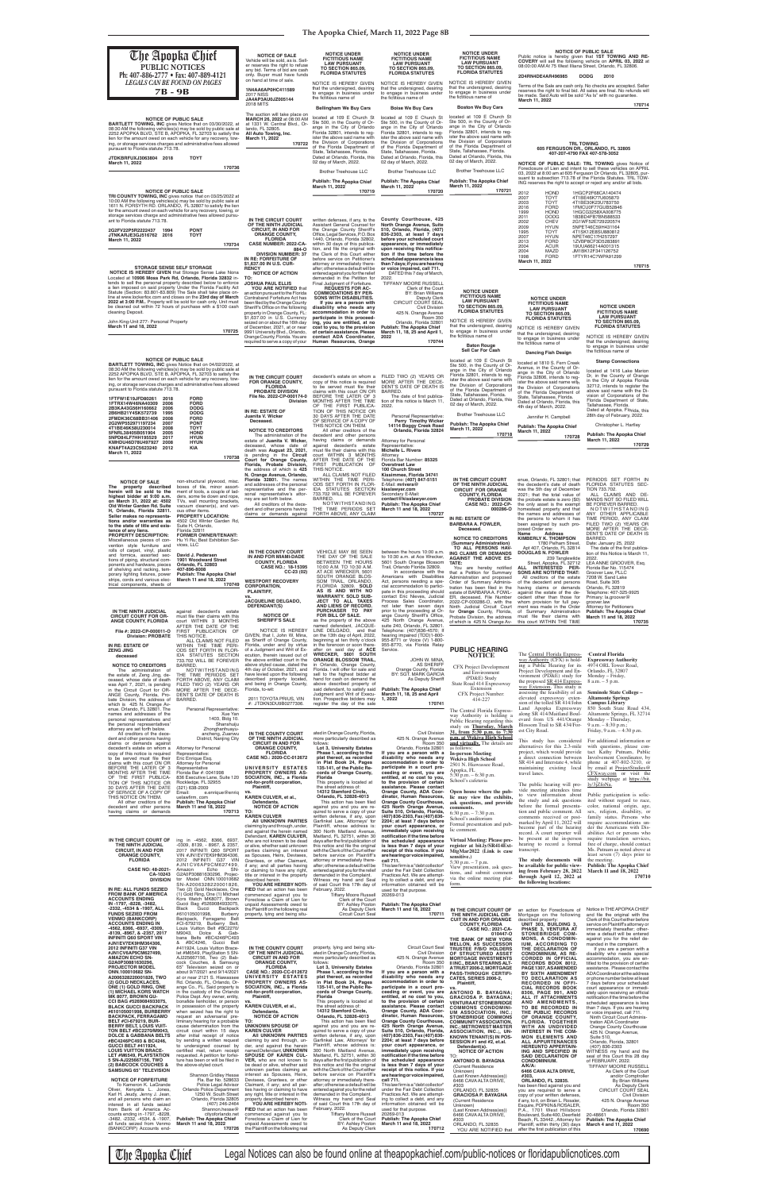| <b>The Apopka Chief</b><br>PUBLIC NOTICES<br>Ph: 407-886-2777 • Fax: 407-889-4121                                                                                                                                                                                                                                                                                                                                                                                                                                                                                                                                                                        | <b>NOTICE OF SALE</b><br>Vehicle will be sold, as is. Sell-<br>er reserves the right to refuse<br>any bid. Terms of bid are cash<br>only. Buver must have funds<br>on hand at time of sale.                                                                                                                                                                                                                                                            | <b>NOTICE UNDER</b><br><b>FICTITIOUS NAME</b><br><b>LAW PURSUANT</b><br><b>TO SECTION 865.09,</b><br><b>FLORIDA STATUTES</b>                                                                                                                                                                                                                                                                                                                | <b>NOTICE UNDER</b><br><b>FICTITIOUS NAME</b><br><b>LAW PURSUANT</b><br><b>TO SECTION 865.09.</b><br><b>FLORIDA STATUTES</b>                                                                                                                                                                                                                                                                                     | <b>NOTICE UNDER</b><br><b>FICTITIOUS NAME</b><br><b>LAW PURSUANT</b><br><b>TO SECTION 865.09,</b><br><b>FLORIDA STATUTES</b>                                                                                                                                                                                                                                         | 08:00:00 AM At 75 West Illiana Street, Orlando, FL 32806.<br>2D4RN4DE4AR496985                                                                                                                                                                                                                                                                                                                              | <b>NOTICE OF PUBLIC SALE</b><br>Public notice is hereby given that 1ST TOWING AND RE-<br>COVERY will sell the following vehicle on APRIL 03, 2022 at<br><b>DODG</b><br>2010                                                                                                                                                      |
|----------------------------------------------------------------------------------------------------------------------------------------------------------------------------------------------------------------------------------------------------------------------------------------------------------------------------------------------------------------------------------------------------------------------------------------------------------------------------------------------------------------------------------------------------------------------------------------------------------------------------------------------------------|--------------------------------------------------------------------------------------------------------------------------------------------------------------------------------------------------------------------------------------------------------------------------------------------------------------------------------------------------------------------------------------------------------------------------------------------------------|---------------------------------------------------------------------------------------------------------------------------------------------------------------------------------------------------------------------------------------------------------------------------------------------------------------------------------------------------------------------------------------------------------------------------------------------|------------------------------------------------------------------------------------------------------------------------------------------------------------------------------------------------------------------------------------------------------------------------------------------------------------------------------------------------------------------------------------------------------------------|----------------------------------------------------------------------------------------------------------------------------------------------------------------------------------------------------------------------------------------------------------------------------------------------------------------------------------------------------------------------|-------------------------------------------------------------------------------------------------------------------------------------------------------------------------------------------------------------------------------------------------------------------------------------------------------------------------------------------------------------------------------------------------------------|----------------------------------------------------------------------------------------------------------------------------------------------------------------------------------------------------------------------------------------------------------------------------------------------------------------------------------|
| <b>LEGALS CAN BE FOUND ON PAGES</b><br><b>7B-9B</b>                                                                                                                                                                                                                                                                                                                                                                                                                                                                                                                                                                                                      | 1N4AA6AP0HC411589<br><b>2017 NISS</b><br>JA4AP3AU0JZ005144<br><b>2018 MITS</b>                                                                                                                                                                                                                                                                                                                                                                         | NOTICE IS HEREBY GIVEN<br>that the undersigned, desiring<br>to engage in business under<br>the fictitious name of<br><b>Bellingham We Buy Cars</b>                                                                                                                                                                                                                                                                                          | NOTICE IS HEREBY GIVEN<br>that the undersigned, desiring<br>to engage in business under<br>the fictitious name of<br><b>Boise We Buy Cars</b>                                                                                                                                                                                                                                                                    | NOTICE IS HEREBY GIVEN<br>that the undersigned, desiring<br>to engage in business under<br>the fictitious name of<br><b>Boston We Buy Cars</b>                                                                                                                                                                                                                       | be made. Said Auto will be sold "As Is" with no quarantee.<br>March 11, 2022                                                                                                                                                                                                                                                                                                                                | Terms of the Sale are cash only. No checks are accepted. Seller<br>reserves the right to final bid. All sales are final. No refunds will<br>170714                                                                                                                                                                               |
| <b>NOTICE OF PUBLIC SALE</b><br><b>BARTLETT TOWING, INC gives Notice that on 03/30/2022, at</b><br>08:30 AM the following vehicles(s) may be sold by public sale at<br>2252 APOPKA BLVD, STE B, APOPKA, FL 32703 to satisfy the<br>lien for the amount owed on each vehicle for any recovery, tow-<br>ing, or storage services charges and administrative fees allowed<br>pursuant to Florida statute 713.78.<br>JTDKBRFUXJ3063804 2018<br><b>TOYT</b><br>March 11, 2022                                                                                                                                                                                 | The auction will take place on<br>MARCH 26, 2022 at 08:00 AM<br>at 1331 W. Central Blvd., Or-<br>lando, FL 32805.<br>All Auto Towing, Inc.<br>March 11, 2022<br>170722<br>170736                                                                                                                                                                                                                                                                       | located at 109 E Church St<br>Ste 500, in the County of Or-<br>ange in the City of Orlando<br>Florida 32801, intends to req-<br>ister the above said name with<br>the Division of Corporations<br>of the Florida Department of<br>State, Tallahassee, Florida.<br>Dated at Orlando, Florida, this<br>02 day of March, 2022.<br><b>Brother Treehouse LLC</b>                                                                                 | located at 109 E Church St<br>Ste 500, in the County of Or-<br>ange in the City of Orlando<br>Florida 32801, intends to req-<br>ister the above said name with<br>the Division of Corporations<br>of the Florida Department of<br>State, Tallahassee, Florida.<br>Dated at Orlando, Florida, this<br>02 day of March, 2022.<br><b>Brother Treehouse LLC</b>                                                      | located at 109 E Church St<br>Ste 500, in the County of Or-<br>ange in the City of Orlando<br>Florida 32801, intends to req-<br>ister the above said name with<br>the Division of Corporations<br>of the Florida Department of<br>State, Tallahassee, Florida.<br>Dated at Orlando, Florida, this<br>02 day of March, 2022.<br><b>Brother Treehouse LLC</b>          | NOTICE OF PUBLIC SALE: TRL TOWING gives Notice of<br>Foreclosure of Lien and intent to sell these vehicles on APRIL                                                                                                                                                                                                                                                                                         | <b>TRL TOWING</b><br>605 FERGUSON DR., ORLANDO, FL 32805<br>407-207-4790 FAX 407-578-3052                                                                                                                                                                                                                                        |
| <b>NOTICE OF PUBLIC SALE</b><br>TRI COUNTY TOWING. INC gives notice that on 03/25/2022 at<br>10:00 AM the following vehicles(s) may be sold by public sale at<br>1611 N. FORSYTH RD. ORLANDO, FL 32807 to satisfy the lien                                                                                                                                                                                                                                                                                                                                                                                                                               |                                                                                                                                                                                                                                                                                                                                                                                                                                                        | <b>Publish: The Apopka Chief</b><br>March 11, 2022<br>170719                                                                                                                                                                                                                                                                                                                                                                                | <b>Publish: The Apopka Chief</b><br>March 11, 2022<br>170720                                                                                                                                                                                                                                                                                                                                                     | <b>Publish: The Apopka Chief</b><br>March 11, 2022<br>170721                                                                                                                                                                                                                                                                                                         | 03, 2022 at 8:00 am at 605 Ferguson Dr Orlando, FL 32805, pur-<br>ING reserves the right to accept or reject any and/or all bids.<br>2012<br><b>HOND</b><br>2007<br><b>TOYT</b><br>2003<br><b>TOYT</b><br><b>FORD</b><br>2016                                                                                                                                                                               | suant to subsection 713.78 of the Florida Statutes. TRL TOW-<br>1HGCP2F68CA140474<br>4T1BE46K77U605870<br>4T1BE30K23U783750<br>1FMCU0F77GUB52846                                                                                                                                                                                 |
| for the amount owed on each vehicle for any recovery, towing, or<br>storage services charge and administrative fees allowed pursu-<br>ant to Florida statute 713.78.<br>2G2FV22P5R2222437<br>1994<br><b>PONT</b><br>JTNKARJE3GJ516762 2016<br><b>TOYT</b><br>March 11, 2022<br><b>STORAGE SENSE SELF STORAGE</b>                                                                                                                                                                                                                                                                                                                                         | IN THE CIRCUIT COURT<br>OF THE NINTH JUDICIAL<br><b>CIRCUIT, IN AND FOR</b><br><b>ORANGE COUNTY,</b><br><b>FLORIDA</b><br>CASE NUMBER: 2022-CA-<br>170734<br>884-O<br><b>DIVISION NUMBER: 37</b><br>IN RE: FORFEITURE OF<br>\$1,637.00 IN U.S. CUR-<br><b>RENCY</b>                                                                                                                                                                                    | written defenses, if any, to the<br>Assistant General Counsel for<br>the Orange County Sheriff's<br>Office, Legal Services, P.O. Box<br>1440, Orlando, Florida 32802,<br>within 30 days of this publica-<br>tion, and file the original with<br>the Clerk of this Court either<br>before service on Petitioner's<br>attorney or immediately there-<br>after; otherwise a default will be                                                    | County Courthouse, 425<br>North Orange Avenue, Suite<br>510, Orlando, Florida, (407)<br>836-2303, at least 7 days<br>before your scheduled court<br>appearance, or immediately<br>upon receiving this notifica-<br>tion if the time before the<br>scheduled appearance is less<br>than 7 days; if you are hearing<br>or voice impaired, call 711.                                                                |                                                                                                                                                                                                                                                                                                                                                                      | <b>HOND</b><br>1999<br><b>DODG</b><br>2011<br><b>CHEV</b><br>2002<br>2009<br><b>HYUN</b><br>1995<br><b>TOYT</b><br><b>HYUN</b><br>2007<br><b>FORD</b><br>2013<br><b>ACUR</b><br>2004<br>MAZD<br>2004<br>1998<br><b>FORD</b><br>March 11, 2022                                                                                                                                                               | 1HGCG3258XA008775<br>1B3BD4FB7BN588533<br>2G1WF52E729220574<br>5NPET46C59H431164<br>4T1SK12E8SU880812<br>NPET46C17H257297<br>1ZVBP8CF3D5283891<br>19UUA66214A001315<br>JM1BK12F341126752<br>1FTYR14C7WPA91299<br>170715                                                                                                          |
| <b>NOTICE IS HEREBY GIVEN</b> that Storage Sense Lake Nona<br>Located at 10906 Moss Park Rd, Orlando, Florida 32832 in-<br>tends to sell the personal property described below to enforce<br>a lien imposed on said property Under the Florida Facility Act<br>Statute (Section: 83.801-83.809) The Sale shall take place on-<br>line at www.lockerfox.com and closes on the 23rd day of March<br>2022 at 3:00 P.M Property will be sold for cash only. Unit must<br>be cleaned out within 72 hours of purchase with a \$100 cash<br>cleaning Deposit.<br>John King-Unit 277- Personal Property<br>March 11 and 18, 2022                                 | <b>NOTICE OF ACTION</b><br>TO:<br><b>JOSHUA PAUL ELLIS</b><br>YOU ARE NOTIFIED that<br>an action pursuant to the Florida<br>Contraband Forfeiture Act has<br>been filed by the Orange County<br>Sheriff's Office on the following<br>property in Orange County, FL:<br>\$1,637.00 in U.S. Currency<br>seized on or about the 16th day<br>of December, 2021, at or near<br>170725<br>9991 University Blvd., Orlando,<br>Orange County, Florida. You are | entered against you for the relief<br>demanded in the Petition for<br>Final Judgment of Forfeiture.<br><b>REQUESTS FOR AC-</b><br><b>COMMODATIONS BY PER-</b><br>SONS WITH DISABILITIES.<br>If you are a person with<br>disability who needs any<br>accommodation in order to<br>participate in this proceed-<br>ing, you are entitled, at no<br>cost to you, to the provision<br>of certain assistance. Please<br>contact ADA Coordinator. | DATED this 7 day of March,<br>2022.<br>TIFFANY MOORE RUSSELL<br>Clerk of the Court<br><b>BY: Brian Williams</b><br>Deputy Clerk<br><b>CIRCUIT COURT SEAL</b><br>Civil Division<br>425 N. Orange Avenue<br><b>Room 350</b><br>Orlando, Florida 32801<br><b>Publish: The Apopka Chief</b><br>March 11, 18, 25 and April 1,<br>2022                                                                                 | <b>NOTICE UNDER</b><br><b>FICTITIOUS NAME</b><br><b>LAW PURSUANT</b><br><b>TO SECTION 865.09,</b><br><b>FLORIDA STATUTES</b><br>NOTICE IS HEREBY GIVEN<br>that the undersigned, desiring<br>to engage in business under<br>the fictitious name of                                                                                                                    | <b>NOTICE UNDER</b><br><b>FICTITIOUS NAME</b><br><b>LAW PURSUANT</b><br><b>TO SECTION 865.09,</b><br><b>FLORIDA STATUTES</b><br>NOTICE IS HEREBY GIVEN<br>that the undersigned, desiring<br>to engage in business under                                                                                                                                                                                     | <b>NOTICE UNDER</b><br><b>FICTITIOUS NAME</b><br><b>LAW PURSUANT</b><br>TO SECTION 865.09,<br><b>FLORIDA STATUTES</b><br>NOTICE IS HEREBY GIVEN                                                                                                                                                                                  |
| <b>NOTICE OF PUBLIC SALE</b><br><b>BARTLETT TOWING, INC gives Notice that on 04/02/2022, at</b>                                                                                                                                                                                                                                                                                                                                                                                                                                                                                                                                                          | required to serve a copy of your                                                                                                                                                                                                                                                                                                                                                                                                                       | Human Resources, Orange                                                                                                                                                                                                                                                                                                                                                                                                                     | 170744                                                                                                                                                                                                                                                                                                                                                                                                           | <b>Baton Rouge</b><br><b>Sell Car For Cash</b><br>located at 109 E Church St<br>Ste 500, in the County of Or-                                                                                                                                                                                                                                                        | the fictitious name of<br><b>Dancing Fish Design</b><br>located at 1810 S. Fern Creek<br>Avenue, in the County of Or-                                                                                                                                                                                                                                                                                       | that the undersigned, desiring<br>to engage in business under<br>the fictitious name of<br><b>Stamp Connections</b>                                                                                                                                                                                                              |
| 08:30 AM the following vehicles(s) may be sold by public sale at<br>2252 APOPKA BLVD, STE B, APOPKA, FL 32703 to satisfy the<br>lien for the amount owed on each vehicle for any recovery, tow-<br>ing, or storage services charges and administrative fees allowed<br>pursuant to Florida statute 713.78.<br><b>FORD</b><br>1FTFW1E19JFD80261<br>2018<br><b>FORD</b><br>1FTRX14W46NA40309<br>2006<br>2B3KA43G56H160662<br><b>DODG</b><br>2006                                                                                                                                                                                                           | IN THE CIRCUIT COURT<br><b>FOR ORANGE COUNTY,</b><br><b>FLORIDA</b><br><b>PROBATE DIVISION</b><br>File No. 2022-CP-000174-0<br><b>Division</b><br>IN RE: ESTATE OF                                                                                                                                                                                                                                                                                     | to be served must file their<br>claims with this court ON OR<br>BEFORE THE LATER OF 3<br>MONTHS AFTER THE TIME<br>OF THE FIRST PUBLICA-<br>TION OF THIS NOTICE OR                                                                                                                                                                                                                                                                           | decedent's estate on whom a FILED TWO (2) YEARS OR<br>copy of this notice is required MORE AFTER THE DECE-<br>DENT'S DATE OF DEATH IS<br>BARRED.<br>The date of first publica-<br>tion of this notice is March 11,<br>2022.                                                                                                                                                                                      | ange in the City of Orlando<br>Florida 32801, intends to reg-<br>ister the above said name with<br>the Division of Corporations<br>of the Florida Department of<br>State, Tallahassee, Florida.<br>Dated at Orlando, Florida, this<br>02 day of March, 2022.                                                                                                         | ange in the City of Orlando<br>Florida 32806, intends to reg-<br>ister the above said name with<br>the Division of Corporations<br>of the Florida Department of<br>State, Tallahassee, Florida.<br>Dated at Orlando, Florida, this<br>4th day of March, 2022.                                                                                                                                               | located at 1416 Lake Marion<br>Dr, in the County of Orange<br>in the City of Apopka Florida<br>32712, intends to register the<br>above said name with the Di-<br>vision of Corporations of the<br>Florida Department of State,<br>Tallahassee, Florida.<br>Dated at Apopka, Florida, this                                        |
| <b>DODG</b><br>2B6HB21Y4SK572739<br>1995<br>2FMDK36C68BB31406<br><b>FORD</b><br>2008<br><b>PONT</b><br>2G2WP552971197234<br>2007<br>2008<br><b>TOYT</b><br>4T1BE46K58U230014<br><b>HOND</b><br>5FNRL38405B051904<br>2005<br>5NPD84LF7HH195529<br>2017<br><b>HYUN</b><br><b>HYUN</b><br>KMHDU46D78U497927<br>2008<br>KNAFT4A23C5623240<br>2012<br>KIA<br>March 11, 2022                                                                                                                                                                                                                                                                                   | Juanita V. Wicker<br>Deceased.<br><b>NOTICE TO CREDITORS</b><br>The administration of the<br>estate of Juanita V. Wicker.<br>deceased, whose date of<br>death was August 23, 2021,<br>is pending in the <b>Circuit</b><br>170738<br>Court for Orange County,<br>Florida, Probate Division,                                                                                                                                                             | 30 DAYS AFTER THE DATE<br>OF SERVICE OF A COPY OF<br>THIS NOTICE ON THEM.<br>All other creditors of the<br>decedent and other persons<br>having claims or demands<br>against decedent's estate<br>must file their claims with this<br>court WITHIN 3 MONTHS<br>AFTER THE DATE OF THE<br>FIRST PUBLICATION OF                                                                                                                                | Personal Representative:<br>Perry Timothy Wicker<br>14114 Boggy Creek Road<br>Orlando, Florida 32824<br>Attorney for Personal<br>Representative:<br>Michelle L. Rivera<br>Attorney<br>Florida Bar Number: 85325<br><b>Overstreet Law</b>                                                                                                                                                                         | <b>Brother Treehouse LLC</b><br><b>Publish: The Apopka Chief</b><br>March 11, 2022<br>170718                                                                                                                                                                                                                                                                         | Jennifer H. Campbell<br><b>Publish: The Apopka Chief</b><br>March 11, 2022<br>170728                                                                                                                                                                                                                                                                                                                        | 28th day of February, 2022.<br>Christopher L. Hartley<br><b>Publish: The Apopka Chief</b><br>March 11, 2022<br>170729                                                                                                                                                                                                            |
| <b>NOTICE OF SALE</b><br>non-structural plywood, misc.<br>The property described<br>boxes of tile, minor assort-<br>herein will be sold to the<br>ment of tools, a couple of lad-<br>highest bidder at 9:00 a.m.<br>ders, some tie down and rope,<br>on March 31, 2022 at: 4502<br>TVs, wall mounting brackets,<br>Old Winter Garden Rd. Suite<br>vacuum cleaner(s), and vari-<br>H, Orlando, Florida 32811.<br>ous other items.<br>Seller makes no representa-<br><b>PROPERTY LOCATION:</b><br>tions and/or warranties as<br>4502 Old Winter Garden Rd,<br>to the state of title and exis-<br>Suite H, Orlando,<br>Florida 32811<br>tence of any liens. | the address of which is 425<br>N. Orange Avenue, Orlando,<br>Florida 32801. The names<br>and addresses of the personal<br>representative and the per-<br>sonal representative's attor-<br>ney are set forth below.<br>All creditors of the dece-<br>dent and other persons having<br>claims or demands against                                                                                                                                         | THIS NOTICE.<br>ALL CLAIMS NOT FILED<br>WITHIN THE TIME PERI-<br>ODS SET FORTH IN FLOR-<br>IDA STATUTES SECTION<br>733.702 WILL BE FOREVER<br>BARRED.<br>NOTWITHSTANDING<br>THE TIME PERIODS SET<br>FORTH ABOVE, ANY CLAIM                                                                                                                                                                                                                  | 100 Church Street<br>Kissimmee, Florida 34741<br>Telephone: (407) 847-5151<br>E-Mail: mrivera@<br>kisslawyer.com<br>Secondary E-Mail:<br>contact@kisslawyer.com<br><b>Publish: The Apopka Chief</b><br>March 11 and 18, 2022<br>170727                                                                                                                                                                           | IN THE CIRCUIT COURT<br>OF THE NINTH JUDICIAL<br><b>CIRCUIT FOR ORANGE</b><br><b>COUNTY, FLORIDA</b><br><b>PROBATE DIVISION</b><br>CASE NO.: 2022-CP-<br>000286-O<br>IN RE: ESTATE OF<br><b>BARBARA A. FOWLER,</b><br>Deceased.                                                                                                                                      | enue, Orlando, FL 32801; that<br>the decedent's date of death<br>was the 5th day of December<br>2021; that the total value of<br>the probate estate is zero (\$0)<br>the only asset is the exempt<br>homestead property and that<br>the names and addresses of<br>the persons to whom it has<br>been assigned by such pro-<br>posed Order are:<br>Address<br>Name                                           | PERIODS SET FORTH IN<br>FLORIDA STATUTES SEC-<br>TION 733.702.<br>ALL CLAIMS AND DE-<br>MANDS NOT SO FILED WILL<br>BE FOREVER BARRED<br>NOTWITHSTANDING<br>ANY OTHER APPLICABLE<br>TIME PERIOD, ANY CLAIM<br>FILED TWO (2) YEARS OR<br>MORE AFTER THE DECE-<br>DENT'S DATE OF DEATH IS                                           |
| <b>FORMER OWNER/TENANT:</b><br><b>PROPERTY DESCRIPTION:</b><br>Miscellaneous pieces of con-<br>Hu Yi Ru; Best Exhibition Ser-<br>vention style furniture and<br>vices, LLC<br>rolls of carpet, vinyl, plastic<br>and formica, assorted sec-<br>David J. Pedersen<br><b>1901 Woodward Street</b><br>tions of piping, structural com-<br>Orlando, FL 32803<br>ponents and hardware, pieces<br>of shelving and racking, tem-<br>407-896-8008<br><b>Publish: The Apopka Chief</b><br>porary lighting fixtures, power<br>strips, cords and various elec-<br>March 11 and 18, 2022<br>trical components, sheets of                                             | IN THE COUNTY COURT<br>IN AND FOR MIAMI-DADE<br><b>COUNTY, FLORIDA</b><br>CASE NO.: 18-15395<br>$CC-23(02)$<br><b>WESTPORT RECOVERY</b><br>170749<br><b>CORPORATION,</b><br>PLAINTIFF,<br><b>JACQUELINE DELGADO,</b>                                                                                                                                                                                                                                   | <b>VEHICLE MAY BE SEEN</b><br>THE DAY OF THE SALE<br>BETWEEN THE HOURS<br>10:00 A.M. TO 10:30 A.M.<br>AT ACE WRECKER, 5601<br>SOUTH ORANGE BLOS-<br>SOM TRAIL, ORLANDO,<br>FLORIDA 32809. SOLD<br>AS IS AND WITH NO<br><b>WARRANTY. SOLD SUB-</b><br>JECT TO ALL TAXES                                                                                                                                                                      | between the hours 10:00 a.m.<br>to 10:30 a.m. at Ace Wrecker,<br>5601 South Orange Blossom<br>Trail, Orlando Florida 32809.<br>In accordance with the<br>Americans with Disabilities<br>Act, persons needing a spe-<br>cial accommodation to partici-<br>pate in this proceeding should<br>contact Eric Nieves, Judicial<br>Process Sales Coordinator,                                                           | <b>NOTICE TO CREDITORS</b><br>(Summary Administration)<br>TO ALL PERSONS HAV-<br>ING CLAIMS OR DEMANDS<br><b>AGAINST THE ABOVE ES-</b><br>TATE:<br>You<br>are hereby notified<br>that a Petition for Summary<br>Administration and proposed<br>Order of Summary Adminis-<br>tration has been filed in the<br>estate of BARBARA A. FOWL-<br>ER, deceased, File Number | <b>KIMBERLY K. THOMPSON</b><br>1780 Pelham Street.<br>Apt 407, Orlando, FL 32814<br><b>DOUGLAS N. FOWLER</b><br>239 Tanglewilde<br>Street, Apopka, FL 32712<br>ALL INTERESTED PER-<br><b>SONS ARE NOTIFIED THAT:</b><br>All creditors of the estate<br>of the decedent and persons<br>having claims or demands<br>against the estate of the de-<br>cedent other than those for                              | BARRED.<br>Date: January 25, 2022<br>The date of the first publica-<br>tion of this Notice is March 11,<br>2022.<br>LEA ANNE GROOVER, Esq.<br>Florida Bar No. 115474<br>Groover Law, PLLC<br>7208 W. Sand Lake<br>Road, Suite 305<br>Orlando, FL 32819<br>Telephone: 407-325-9925<br>Primary: la.groover@                        |
| IN THE NINTH JUDICIAL<br>decedent's estate<br>aqainst<br><b>CIRCUIT COURT FOR OR-</b><br>must file their claims with this<br>ANGE COUNTY, FLORIDA<br>court WITHIN 3 MONTHS<br>AFTER THE DATE OF THE<br>FIRST PUBLICATION OF<br>File #: 2022-CP-000011-O<br><b>Division: PROBATE</b><br>THIS NOTICE.<br>ALL CLAIMS NOT FILED<br>WITHIN THE TIME PERI-<br>IN RE: ESTATE OF<br><b>ZENG JING</b><br>ODS SET FORTH IN FLOR-                                                                                                                                                                                                                                   | DEFENDANT(S)<br><b>NOTICE OF</b><br><b>SHERIFF'S SALE</b><br>NOTICE IS HEREBY<br>GIVEN, that I, John W. Mina,<br>as Sheriff of Orange County,<br>Florida, under and by virtue<br>of a Judgment and Writ of Ex-                                                                                                                                                                                                                                         | AND LIENS OF RECORD.<br>PURCHASER TO PAY<br>FOR BILL OF SALE.<br>as the property of the above<br>named defendant, JACQUE-<br>LINE DELGADO, and that<br>on the 13th day of April, 2022,<br>beginning at ten thirty o'clock<br>in the forenoon or soon there-<br>after on said day at ACE                                                                                                                                                     | not later than seven days<br>prior to the proceeding at Or-<br>ange County Sheriff's Office,<br>425 North Orange Avenue,<br>suite 240, Orlando, FL 32801.<br>Telephone: (407)836-4570; If<br>hearing impaired (TDD)1-800-<br>955-8771 or Voice (V) 1-800-<br>955-8770, via Florida Relay<br>Service.                                                                                                             | 2022-CP-000286-O, with the<br>Ninth Judicial Circuit Court<br>for Orange County, Florida,<br>Probate Division, the address<br>of which is 425 N. Orange Av-<br><b>PUBLIC HEARING</b>                                                                                                                                                                                 | whom provision for full pay-<br>ment was made in the Order<br>of Summary Administration<br>must file their claims with<br>this court WITHIN THE TIME                                                                                                                                                                                                                                                        | groover.law<br><b>Attorney for Petitioners</b><br><b>Publish: The Apopka Chief</b><br>March 11 and 18, 2022<br>170735                                                                                                                                                                                                            |
| IDA STATUTES SECTION<br>deceased<br>733.702 WILL BE FOREVER<br><b>NOTICE TO CREDITORS</b><br>BARRED.<br>The administration of<br>NOTWITHSTANDING<br>THE TIME PERIODS SET<br>the estate of, Zeng Jing, de-<br>ceased, whose date of death<br>FORTH ABOVE, ANY CLAIM<br>was April 7, 2021, is pending<br>FILED TWO (2) YEARS OR<br>in the Circuit Court for OR-<br>MORE AFTER THE DECE-<br>ANGE County, Florida, Pro-<br>DENT'S DATE OF DEATH IS<br>bate Division, the address of<br>BARRED.<br>which is 425 N. Orange Av-<br>enue. Orlando, FL 32801. The<br>Personal Representative:<br>names and addresses of the                                       | ecution, therein issued out of<br>the above entitled court in the<br>above styled cause, dated the<br>4th day of October, 2021, and<br>have levied upon the following<br>described property located,<br>and being in Orange County,<br>Florida, to-wit:<br>2011 TOYOTA PRIUS, VIN<br>#: JTDKN3DU9B0277306.<br>Xue Yan                                                                                                                                  | WRECKER. 5601 SOUTH<br><b>ORANGE BLOSSOM TRAIL,</b><br>in Orlando, Orange County,<br>Florida. I will offer for sale and<br>sell to the highest bidder at<br>hand for cash on demand the<br>above described property of<br>said defendant, to satisfy said<br>Judgment and Writ of Execu-<br>tion. Prospective bidders may<br>register the day of the sale                                                                                   | JOHN W. MINA,<br><b>AS SHERIFF</b><br>Orange County, Florida<br>BY: SGT. MARK GARCIA<br>As Deputy Sheriff<br><b>Publish: The Apopka Chief</b><br>March 11, 18, 25 and April<br>1, 2022<br>170741                                                                                                                                                                                                                 | <b>NOTICE</b><br><b>CFX</b> Project Development<br>and Environment<br>(PD&E) Study<br>State Road 414 Expressway<br>Extension<br>CFX Project Number:<br>414-227<br>The Central Florida Express-                                                                                                                                                                       | The Central Florida Express-<br>way Authority (CFX) is hold-<br>ing a Public Hearing for its<br>Project Development and En-<br>vironment (PD&E) study for<br>the proposed SR 414 Express-<br>way Extension. This study is<br>assessing the feasibility of an<br>elevated expressway exten-<br>sion of the tolled SR 414/John<br>Land Apopka Expressway<br>along SR 414/Maitland Boul-                       | <b>Central Florida</b><br><b>Expressway Authority</b><br>4974 ORL Tower Road.<br>Orlando, FL 32807<br>Monday – Friday,<br>$8$ a.m. $-5$ p.m.<br><b>Seminole State College –</b><br><b>Altamonte Springs</b><br><b>Campus Library</b><br>850 South State Road 434<br>Altamonte Springs, FL 32714                                  |
| personal representatives and<br>the personal representatives<br>attorney are set forth below.<br>Zhonghanhuayu-<br>ancheng, Zuanwu<br>All creditors of the dece-<br>dent and other persons having<br>District, Nanjing City<br>claims or demands against<br>Attorney for Personal<br>decedent's estate on whom a<br>copy of this notice is required<br>Representative:<br>to be served must file their<br>Eric Enrique Esq.<br>claims with this court ON OR<br>Attorney for Personal<br>BEFORE THE LATER OF 3<br>Representative<br>MONTHS AFTER THE TIME<br>Florida Bar #: 0041998<br>OF THE FIRST PUBLICA-<br>836 Executive Lane, Suite 120             | 1403, Bldg 10.<br>Shanshuiju<br>IN THE COUNTY COURT<br>OF THE NINTH JUDICIAL<br><b>CIRCUIT IN AND FOR</b><br><b>ORANGE COUNTY,</b><br><b>FLORIDA</b><br>CASE NO.: 2020-CC-012672<br>UNIVERSITY ESTATES<br><b>PROPERTY OWNERS AS-</b><br>SOCIATION, INC., a Florida                                                                                                                                                                                     | ated in Orange County, Florida,<br>more particularly described as<br>follows:<br>Lot 3, University Estates<br>Phase 1, according to the<br>plat thereof, as recorded<br>in Plat Book 24, Pages<br>135-141, of the Public Re-<br>cords of Orange County,<br>Florida                                                                                                                                                                          | <b>Civil Division</b><br>425 N. Orange Avenue<br>Room 350<br>Orlando, Florida 32801<br>If you are a person with a<br>disability who needs any<br>accommodation in order to<br>participate in a court pro-<br>ceeding or event, you are<br>entitled, at no cost to you,                                                                                                                                           | way Authority is holding a<br>Public Hearing regarding this<br>study on Thursday, March<br>31, from 5:30 p.m. to 7:30<br>p.m. at Wekiva High School<br>and virtually. The details are<br>as follows:<br><b>In-person Meeting</b><br>Wekiva High School<br>2501 N. Hiawassee Road.<br>Apopka, FL<br>5:30 p.m. $-$ 6:30 p.m.                                           | evard from US 441/Orange Monday – Thursday,<br>Blossom Trail to SR 434/For- $9 a.m. - 8:30 p.m.$ ;<br>est City Road.<br>This study has considered<br>alternatives for this 2.3-mile<br>project, which would provide<br>a direct connection between<br>SR 414 and Interstate 4, while<br>maintaining existing local<br>travel lanes.                                                                         | Friday, $9 a.m. - 4:30 p.m.$<br>For additional information or<br>with questions, please con-<br>tact Kathy Putnam, Public<br>Involvement Coordinator, by<br>phone at 407-802-3210, or<br>by email at ProjectStudies@<br>$CFXway.com$ or visit the<br>study webpage at https://bit.                                               |
| TION OF THIS NOTICE OR<br>Rockledge, FL 32955<br>30 DAYS AFTER THE DATE<br>(321) 638-2009<br>OF SERVICE OF A COPY OF<br>Email:<br>THIS NOTICE ON THEM.<br>uelawfirm. com<br><b>Publish: The Apopka Chief</b><br>All other creditors of the<br>decedent and other persons<br>March 11 and 18, 2022<br>having claims or demands                                                                                                                                                                                                                                                                                                                            | not-for-profit corporation,<br>Plaintiff,<br>e.enrique@enriq<br>KAREN CULVER, et al.,<br>Defendants.<br><b>NOTICE OF ACTION</b><br>TO:<br>170713<br><b>KAREN CULVER</b><br>AII UNKNOWN PARTIES<br>claiming by and through, under,                                                                                                                                                                                                                      | This property is located at<br>the street address of:<br>14312 Stamford Circle,<br>Orlando, FL 32826-4013<br>This action has been filed<br>against you and you are re-<br>quired to serve a copy of your<br>written defense, if any, upon<br>Garfinkel Law, Attorneys' for<br>Plaintiff, whose address is:                                                                                                                                  | to the provision of certain<br>assistance. Please contact<br>Orange County, ADA Coor-<br>dinator, Human Resources,<br><b>Orange County Courthouse,</b><br>425 North Orange Avenue,<br>Suite 510, Orlando, Florida,<br>(407) 836-2303, Fax (407) 836-<br>2204; at least 7 days before<br>your court appearance, or                                                                                                | School's cafeteria<br>Open house where the pub-<br>lic may view the exhibits.<br>ask questions, and provide<br>comments.<br>6:30 p.m. $-7:30$ p.m.<br>School's auditorium<br>Formal presentation and pub-<br>lic comment.                                                                                                                                            | The public hearing will pro-<br>vide meeting attendees time<br>to view information about<br>the study and ask questions<br>before the formal presenta-<br>tion and public comment. All<br>comments received or post-<br>marked by April 11, 2022 will<br>become part of the hearing                                                                                                                         | ly/3jZfoNa.<br>Public participation is solic-<br>ited without regard to race,<br>color, national origin, age,<br>sex, religion, disability, or<br>family status. Persons who<br>require accommodations un-<br>der the Americans with Dis-                                                                                        |
| IN THE CIRCUIT COURT OF<br>ing in -4562, 8366, 6937,<br>-0309, 8139, - 8967, & 2357,<br>THE NINTH JUDICIAL<br><b>CIRCUIT. IN AND FOR</b><br>2017 INFINITI Q60 SPORT<br><b>ORANGE COUNTY,</b><br>VIN #JN1EV7EK9HM364306,<br>2012 INFINITI G37 VIN<br><b>FLORIDA</b><br>#JN1CV6AP9CM627499.<br>CASE NO: 48-2021-<br>Amazon<br>Echo<br>G2A0P30881630296, Projec-<br>CA-10243<br><b>DIVISION</b><br>tor Model ONN.100010682<br>SN-A2006328220001826,<br>IN RE: ALL FUNDS SEZIED<br>Two (2) Gold Necklaces, One                                                                                                                                               | and against the herein named<br>Defendant. KAREN CULVER.<br>who are not known to be dead<br>or alive, whether said unknown<br>parties claiming an interest<br>as Spouses, Heirs, Devisees,<br>Grantees, or other Claimant,<br>if any; and all parties having<br>SN-<br>or claiming to have any right,<br>title or interest in the property<br>described herein.<br>YOU ARE HEREBY NOTI-<br><b>FIED</b> that an action has been                         | 300 North Maitland Avenue,<br>Maitland, FL 32751, within 30<br>days after the first publication of<br>this notice and file the original<br>with the Clerk of the Court either<br>before service on Plaintiff's<br>attorney or immediately there-<br>after; otherwise a default will be<br>entered against you for the relief<br>demanded in the Complaint.<br>Witness my hand and Seal<br>of said Court this 17th day of<br>February, 2022. | immediately upon receiving<br>notification if the time before<br>the scheduled appearance<br>is less than 7 days of your<br>receipt of this notice. If you<br>are hearing or voice impaired,<br>call 711.<br>This law firm is a "debt collector"<br>under the Fair Debt Collection<br>Practices Act. We are attempt-<br>ing to collect a debt, and any<br>information obtained will be<br>used for that purpose. | Virtual Meeting: Please pre-<br>register at bit.ly/SR414Ext-<br>MtgMar2022 (Link is case<br>sensitive.)<br>$5:30$ p.m. $-7$ p.m.<br>View presentation, ask ques-<br>tions, and submit comment<br>via the online meeting plat-<br>form.                                                                                                                               | record. A court reporter will<br>be present at the in-person<br>hearing to record a formal<br>transcript.<br>The study documents will<br>be available for public view-<br>ing from February 28, 2022<br>through April 12, 2022 at<br>the following locations:                                                                                                                                               | abilities Act or persons who<br>require translation services,<br>free of charge, should contact<br>Ms. Putnam as noted above at<br>least seven (7) days prior to<br>the meeting<br><b>Publish: The Apopka Chief</b><br><b>March 11 and 18, 2022</b><br>170710                                                                    |
| <b>FROM BANK OF AMERICA</b><br>(1) Gold Ring, One (1) Michael<br><b>ACCOUNTS ENDING</b><br>Kors Watch MK8077, Brown<br>IN -1797, -8228, -3482.<br>Gucci Bag #5269084933075,<br>-2332. -4534 & -1907. ALL<br>Gucci<br><b>Black</b><br><b>FUNDS SEZIED FROM</b><br>#610105001998,<br>Backpack, Ferragamo Belt<br><b>VENMO (BANKCORP)</b><br><b>ACCOUNTS ENDING IN</b><br>#CI-679219, Burberry Belt,<br>-4562, 8366, -6937, -0309,<br>Louis Vuitton Belt #BC2270/<br>M9043,<br>Dolce & Gab-<br>-8139, -8967, & -2357, 2017                                                                                                                                  | commenced against you to<br>Foreclose a Claim of Lien for<br>unpaid Assessments owed to<br>Backpack<br>the Plaintiff on the following real<br><b>Burberry</b><br>property, lying and being situ-                                                                                                                                                                                                                                                       | Tiffany Moore Russell<br>Clerk of the Court<br>BY: Ashley Poston<br>As Deputy Clerk<br><b>Circuit Court Seal</b>                                                                                                                                                                                                                                                                                                                            | 20269-013<br><b>Publish: The Apopka Chief</b><br>March 11 and 18, 2022<br>170711                                                                                                                                                                                                                                                                                                                                 | IN THE CIRCUIT COURT OF<br>THE NINTH JUDICIAL CIR-<br><b>CUIT IN AND FOR ORANGE</b><br><b>COUNTY, FLORIDA</b><br><b>CASE NO.: 2021-CA-</b><br>010447-0                                                                                                                                                                                                               | an action for Foreclosure of<br>Mortgage on the following<br>described property:<br>UNIT 303, BUILDING 3,<br>PHASE 3, VENTURA AT<br><b>STONEBRIDGE COM-</b>                                                                                                                                                                                                                                                 | Notice in THE APOPKA CHIEF<br>and file the original with the<br>Clerk of this Court either before<br>service on Plaintiff's attorney or<br>immediately thereafter; other-<br>wise a default will be entered                                                                                                                      |
| <b>INFINITI Q60 SPORT VIN</b><br>bana Belts #BC4246PC493<br>#JN1EV7EK9HM364306,<br>& #BC4246, Gucci Belt<br>2012 INFINITI G37 VIN<br>#411924, Louis Vuitton Brace-<br>#JN1CV6AP9CM627499,<br>let #M6549, PlayStation 5 SN-<br><b>AMAZON ECHO SN-</b><br>AJ225667156, Two (2) Bab-<br>G2A0P30881630296.<br>cock Couches, & Samsung<br><b>PROJECTOR MODEL</b><br>65" Television seized on or<br>ONN.100010682 SN-<br>about 9/7/2021 and 9/14/2021<br>at or near 2121 S. Hiawassee<br>A2006328220001826, TWO<br>Rd. Orlando, FL, Orlando, Or-<br>(2) GOLD NECKLACES,                                                                                        | IN THE COUNTY COURT<br>OF THE NINTH JUDICIAL<br><b>CIRCUIT IN AND FOR</b><br><b>ORANGE COUNTY,</b><br><b>FLORIDA</b><br>CASE NO.: 2020-CC-012672<br>UNIVERSITY ESTATES<br>PROPERTY OWNERS AS-                                                                                                                                                                                                                                                          | property, lying and being situ-<br>ated in Orange County, Florida,<br>more particularly described as<br>follows:<br>Lot 3, University Estates<br>Phase 1, according to the<br>plat thereof, as recorded<br>in Plat Book 24, Pages                                                                                                                                                                                                           | Circuit Court Seal<br>Civil Division<br>425 N. Orange Avenue<br>Room 350<br>Orlando, Florida 32801<br>If you are a person with a<br>disability who needs any<br>accommodation in order to                                                                                                                                                                                                                        | THE BANK OF NEW YORK<br><b>MELLON, AS SUCCESSOR</b><br>TRUSTEE F/B/O HOLDERS<br>OF STRUCTURED ASSET<br><b>MORTGAGE INVESTMENTS</b><br>II INC., BEAR STEARNS ALT-<br>ATRUST 2006-2, MORTGAGE<br><b>PASS-THROUGH CERTIFI-</b><br>CATES, SERIES 2006-2,                                                                                                                 | <b>MONS, A CONDOMIN-</b><br>IUM, ACCORDING TO<br>THE DECLARATION OF<br><b>CONDOMINIUM, AS RE-</b><br><b>CORDED IN OFFICIAL</b><br>RECORDS BOOK 8012,<br>PAGE 1307, AS AMENDED<br>BY SIXTH AMENDMENT<br><b>TO DECLARATION AS</b>                                                                                                                                                                             | against you for the relief de-<br>manded in the complaint.<br>If you are a person with a<br>disability who needs special<br>accommodation, you are en-<br>titled to the provision of certain<br>assistance. Please contact the<br>ADA Coordinator at the address<br>or phone number below at least                               |
| ONE (1) GOLD RING, ONE<br>ange Co., FL. Said property is<br>in the custody of the Orlando<br>(1) MICHAEL KORS WATCH<br><b>MK 8077, BROWN GU-</b><br>Police Dept. Any owner, entity,<br>CCI BAG #5269084933075<br>bonafide lienholder, or person<br><b>BLACK GUCCI BACKPACK</b><br>in possession of the property<br>#610105001998, BURBERRY<br>when seized has the right to<br><b>BACKPACK, FERRAGAMO</b><br>request an adversarial pre-<br><b>BELT #CI-679219, BUR-</b><br>liminary hearing for a probable<br>BERRY BELT, LOUIS VUIT-<br>cause determination from the                                                                                    | SOCIATION, INC., a Florida<br>not-for-profit corporation,<br>Plaintiff,<br>vs.<br><b>KAREN CULVER, et al.,</b><br>Defendants.<br><b>NOTICE OF ACTION</b><br>TO:<br>UNKNOWN SPOUSE OF                                                                                                                                                                                                                                                                   | 135-141, of the Public Re-<br>cords of Orange County,<br>Florida<br>This property is located at<br>the street address of:<br>14312 Stamford Circle,<br>Orlando, FL 32826-4013<br>This action has been filed<br>against you and you are re-                                                                                                                                                                                                  | participate in a court pro-<br>ceeding or event, you are<br>entitled, at no cost to you,<br>to the provision of certain<br>assistance. Please contact<br>Orange County, ADA Coor-<br>dinator, Human Resources,<br><b>Orange County Courthouse,</b><br>425 North Orange Avenue,                                                                                                                                   | Plaintiff,<br>vs.<br>ANTONIO B. BAYAGNA;<br><b>GRACIOSA P. BAYAGNA;</b><br><b>VENTURA AT STONEBRIDGE</b><br><b>COMMONS CONDOMINI-</b><br>UM ASSOCIATION, INC.;<br><b>STONEBRIDGE COMMONS</b><br><b>COMMUNITY ASSOCIATION,</b><br><b>INC.: METROWEST MASTER</b>                                                                                                       | RECORDED IN OFFI-<br><b>CIAL RECORDS BOOK</b><br>8306, PAGE 991, AND<br>ALL IT ATTACHMENTS<br>AND AMENDMENTS.<br><b>TO BE RECORDED IN</b><br>THE PUBLIC RECORDS<br>OF ORANGE COUNTY,<br><b>FLORIDA. TOGETHER</b><br>WITH AN UNDIVIDED                                                                                                                                                                       | 7 days before your scheduled<br>court appearance or immedi-<br>ately upon receiving an official<br>notification if the time before the<br>scheduled appearance is less<br>than 7 days. If you are hearing<br>or voice impaired, call 711.<br>Ninth Circuit Court Adminis-<br>tration ADA Coordinator<br>Orange County Courthouse |
| TON BELT #BC2270/M9043,<br>circuit court within 15 days<br><b>DOLCE &amp; GABBANA BELTS</b><br>after initial receipt of notice<br>#BC4246PC493 & BC4246,<br>by sending a written request<br><b>GUCCI BELT #411924,</b><br>to undersigned counsel by<br><b>LOUIS VUITTON BRACE-</b><br>certified mail, return receipt<br>LET #M6549, PLAYSTATION<br>requested. A petition for forfei-<br>5 SN-AJ225667156, TWO<br>ture has been or will be filed in<br>(2) BABCOCK COUCHES &<br>the above-styled court.<br><b>SAMSUNG 65" TELEVISION</b>                                                                                                                  | <b>KAREN CULVER</b><br>AII UNKNOWN PARTIES<br>claiming by and through, un-<br>der, and against the herein<br>named Defendant, UNKNOWN<br><b>SPOUSE OF KAREN CUL-</b><br>VER, who are not known to<br>unknown parties claiming an                                                                                                                                                                                                                       | quired to serve a copy of your<br>written defense, if any, upon<br>Garfinkel Law, Attorneys' for<br>Plaintiff, whose address is:<br>300 North Maitland Avenue,<br>Maitland, FL 32751, within 30<br>days after the first publication of<br>be dead or alive, whether said this notice and file the original<br>with the Clerk of the Court either                                                                                            | Suite 510, Orlando, Florida,<br>(407) 836-2303, Fax (407) 836-<br>2204; at least 7 days before<br>your court appearance, or<br>immediately upon receiving<br>notification if the time before $TO$<br>the scheduled appearance<br>is less than 7 days of your<br>receipt of this notice. If you                                                                                                                   | ASSOCIATION, INC.;, UN-<br><b>KNOWN TENANT(S) IN POS-</b><br>SESSION #1 and #2, et.al.<br>Defendant(s).<br><b>NOTICE OF ACTION</b><br><b>ANTONIO B. BAYAGNA</b><br>(Current Residence                                                                                                                                                                                | INTEREST IN THE COM-<br><b>MON ELEMENTS AND</b><br>ALL APPURTENANCES<br><b>HEREUNTO APPERTAIN-</b><br>ING AND SPECIFIED IN<br><b>SAID DECLARATION OF</b><br><b>CONDOMINIUM.</b><br>A/K/A:                                                                                                                                                                                                                   | 425 N. Orange Avenue,<br>Suite 510,<br>Orlando, Florida, 32801<br>(407) 836-2303<br>WITNESS my hand and the<br>seal of this Court this 28 day<br>of FEBRUAHY, 2022.<br>TIFFANY MOORE RUSSELL                                                                                                                                     |
| Shannon Gridley Hesse<br><b>NOTICE OF FORFEITURE</b><br>Fla. Bar No. 528633<br>Police Legal Advisor<br>To Kameron K. LaGrande<br>Orlando Police Department<br>Oliver, Kenyatta L. Jones,<br>1250 W. South Street<br>Karl H. Jeudy, Jenny J. Jean,<br>Orlando, Florida 32805<br>and all persons who claim an<br>interest in all funds seized<br>Shannon.hesse@<br>from Bank of America Ac-<br>counts ending in -1797, -8228,<br>$-3482, -2332, -4534, 8 -1907,$<br><b>Publish: The Apopka Chief</b><br>all funds seized from Venmo<br>March 11 and 18, 2022<br>(BANKCORP) Accounts end-                                                                   | interest as Spouses, Heirs,<br>Devisees, Grantees, or other<br>Claimant, if any; and all par-<br>ties having or claiming to have<br>any right, title or interest in the<br>property described herein.<br>YOU ARE HEREBY NOTI-<br>(407) 246-2464<br>FIED that an action has been<br>cityoforlando.net<br>commenced against you to<br>Foreclose a Claim of Lien for<br>unpaid Assessments owed to<br>170726<br>the Plaintiff on the following real       | before service on Plaintiff's<br>attorney or immediately there-<br>after; otherwise a default will be<br>entered against you for the relief<br>demanded in the Complaint.<br>Witness my hand and Seal<br>of said Court this 17th day of<br>February, 2022.<br><b>Tiffany Moore Russell</b><br>Clerk of the Court<br>BY: Ashley Poston<br>As Deputy Clerk                                                                                    | are hearing or voice impaired,<br>call 711.<br>This law firm is a "debt collector"<br>under the Fair Debt Collection<br>Practices Act. We are attempt-<br>ing to collect a debt, and any<br>information obtained will be<br>used for that purpose.<br>20269-013<br><b>Publish: The Apopka Chief</b><br>March 11 and 18, 2022<br>170712                                                                           | Unknown)<br>(Last Known Address(es))<br>6466 CAVA ALTA DRIVE,<br>#303<br>ORLANDO, FL 32835<br><b>GRACIOSA P. BAYAGNA</b><br>(Current Residence)<br>Unknown)<br>(Last Known Address(es))<br>6466 CAVA ALTA DRIVE,<br>#303<br>ORLANDO, FL 32835<br>YOU ARE NOTIFIED that                                                                                               | 6466 CAVA ALTA DRIVE,<br>#303,<br>ORLANDO, FL 32835.<br>has been filed against you and<br>you are required to serve a<br>copy of your written defenses,<br>if any, to it, on Brian L. Rosaler,<br>Esquire, POPKIN & ROSALER,<br>P.A., 1701 West Hillsboro<br>Boulevard, Suite 400, Deerfield<br>Beach, FL 33442., Attorney for<br>Plaintiff, within thirty (30) days<br>after the first publication of this | As Clerk of the Court<br>and/or Comptroller<br>By Brian Williams<br>Ás Deputy Clerk<br>CIRCUIT COURT SEAL<br>Civil Division<br>425 N. Orange Avenue<br><b>Room 350</b><br>Orlando, Florida 32801<br>20-48661<br>Publish: The Apopka Chief<br>March 4 and 11, 2022<br>170690                                                      |

The Apopka Chief Legal Notices can also be found online at theapopkachief.com/public-notices or floridapublicnotices.com